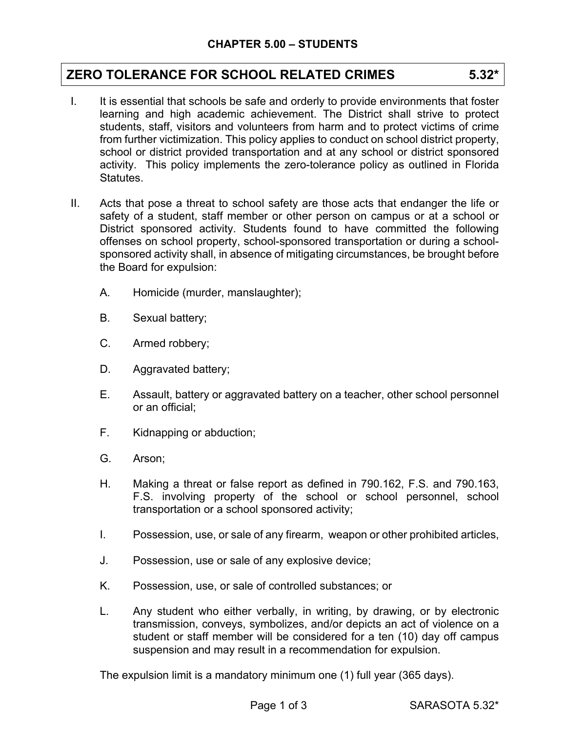# **ZERO TOLERANCE FOR SCHOOL RELATED CRIMES 5.32\***

- I. It is essential that schools be safe and orderly to provide environments that foster learning and high academic achievement. The District shall strive to protect students, staff, visitors and volunteers from harm and to protect victims of crime from further victimization. This policy applies to conduct on school district property, school or district provided transportation and at any school or district sponsored activity. This policy implements the zero-tolerance policy as outlined in Florida Statutes.
- II. Acts that pose a threat to school safety are those acts that endanger the life or safety of a student, staff member or other person on campus or at a school or District sponsored activity. Students found to have committed the following offenses on school property, school-sponsored transportation or during a schoolsponsored activity shall, in absence of mitigating circumstances, be brought before the Board for expulsion:
	- A. Homicide (murder, manslaughter);
	- B. Sexual battery;
	- C. Armed robbery;
	- D. Aggravated battery;
	- E. Assault, battery or aggravated battery on a teacher, other school personnel or an official;
	- F. Kidnapping or abduction;
	- G. Arson;
	- H. Making a threat or false report as defined in 790.162, F.S. and 790.163, F.S. involving property of the school or school personnel, school transportation or a school sponsored activity;
	- I. Possession, use, or sale of any firearm, weapon or other prohibited articles,
	- J. Possession, use or sale of any explosive device;
	- K. Possession, use, or sale of controlled substances; or
	- L. Any student who either verbally, in writing, by drawing, or by electronic transmission, conveys, symbolizes, and/or depicts an act of violence on a student or staff member will be considered for a ten (10) day off campus suspension and may result in a recommendation for expulsion.

The expulsion limit is a mandatory minimum one (1) full year (365 days).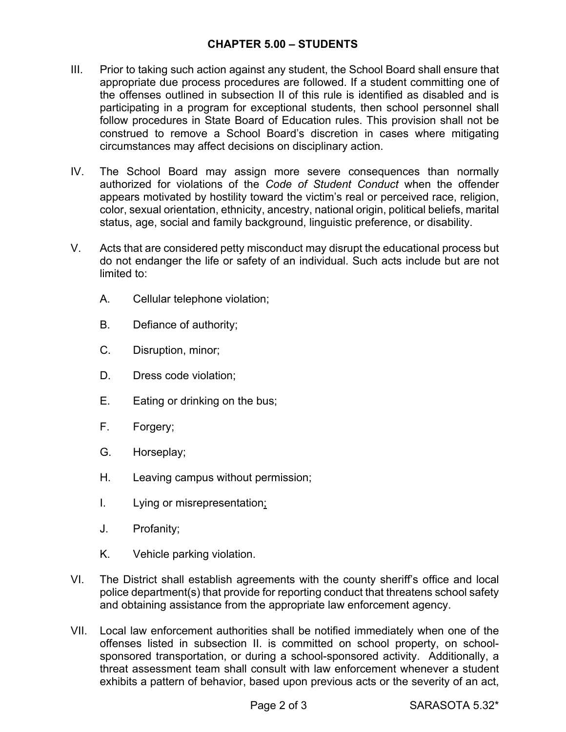### **CHAPTER 5.00 – STUDENTS**

- III. Prior to taking such action against any student, the School Board shall ensure that appropriate due process procedures are followed. If a student committing one of the offenses outlined in subsection II of this rule is identified as disabled and is participating in a program for exceptional students, then school personnel shall follow procedures in State Board of Education rules. This provision shall not be construed to remove a School Board's discretion in cases where mitigating circumstances may affect decisions on disciplinary action.
- IV. The School Board may assign more severe consequences than normally authorized for violations of the *Code of Student Conduct* when the offender appears motivated by hostility toward the victim's real or perceived race, religion, color, sexual orientation, ethnicity, ancestry, national origin, political beliefs, marital status, age, social and family background, linguistic preference, or disability.
- V. Acts that are considered petty misconduct may disrupt the educational process but do not endanger the life or safety of an individual. Such acts include but are not limited to:
	- A. Cellular telephone violation;
	- B. Defiance of authority;
	- C. Disruption, minor;
	- D. Dress code violation;
	- E. Eating or drinking on the bus;
	- F. Forgery;
	- G. Horseplay;
	- H. Leaving campus without permission;
	- I. Lying or misrepresentation;
	- J. Profanity;
	- K. Vehicle parking violation.
- VI. The District shall establish agreements with the county sheriff's office and local police department(s) that provide for reporting conduct that threatens school safety and obtaining assistance from the appropriate law enforcement agency.
- VII. Local law enforcement authorities shall be notified immediately when one of the offenses listed in subsection II. is committed on school property, on schoolsponsored transportation, or during a school-sponsored activity. Additionally, a threat assessment team shall consult with law enforcement whenever a student exhibits a pattern of behavior, based upon previous acts or the severity of an act,